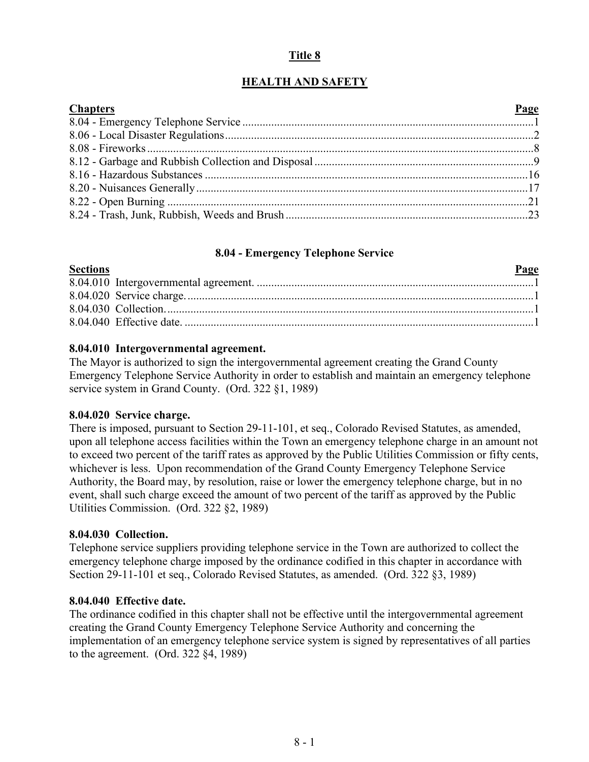## **Title 8**

# **HEALTH AND SAFETY**

| <b>Chapters</b> | Page |
|-----------------|------|
|                 |      |
|                 |      |
|                 |      |
|                 |      |
|                 |      |
|                 |      |
|                 |      |
|                 |      |

#### **8.04 - Emergency Telephone Service**

## <span id="page-0-0"></span>**Sections Page** 8.04.010 Intergovernmental agreement. ................................................................................................1 8.04.020 Service charge.........................................................................................................................1 8.04.030 Collection................................................................................................................................1 8.04.040 Effective date. .........................................................................................................................1

#### **8.04.010 Intergovernmental agreement.**

The Mayor is authorized to sign the intergovernmental agreement creating the Grand County Emergency Telephone Service Authority in order to establish and maintain an emergency telephone service system in Grand County. (Ord. 322 §1, 1989)

#### **8.04.020 Service charge.**

There is imposed, pursuant to Section 29-11-101, et seq., Colorado Revised Statutes, as amended, upon all telephone access facilities within the Town an emergency telephone charge in an amount not to exceed two percent of the tariff rates as approved by the Public Utilities Commission or fifty cents, whichever is less. Upon recommendation of the Grand County Emergency Telephone Service Authority, the Board may, by resolution, raise or lower the emergency telephone charge, but in no event, shall such charge exceed the amount of two percent of the tariff as approved by the Public Utilities Commission. (Ord. 322 §2, 1989)

## **8.04.030 Collection.**

Telephone service suppliers providing telephone service in the Town are authorized to collect the emergency telephone charge imposed by the ordinance codified in this chapter in accordance with Section 29-11-101 et seq., Colorado Revised Statutes, as amended. (Ord. 322 §3, 1989)

#### **8.04.040 Effective date.**

<span id="page-0-1"></span>The ordinance codified in this chapter shall not be effective until the intergovernmental agreement creating the Grand County Emergency Telephone Service Authority and concerning the implementation of an emergency telephone service system is signed by representatives of all parties to the agreement. (Ord. 322 §4, 1989)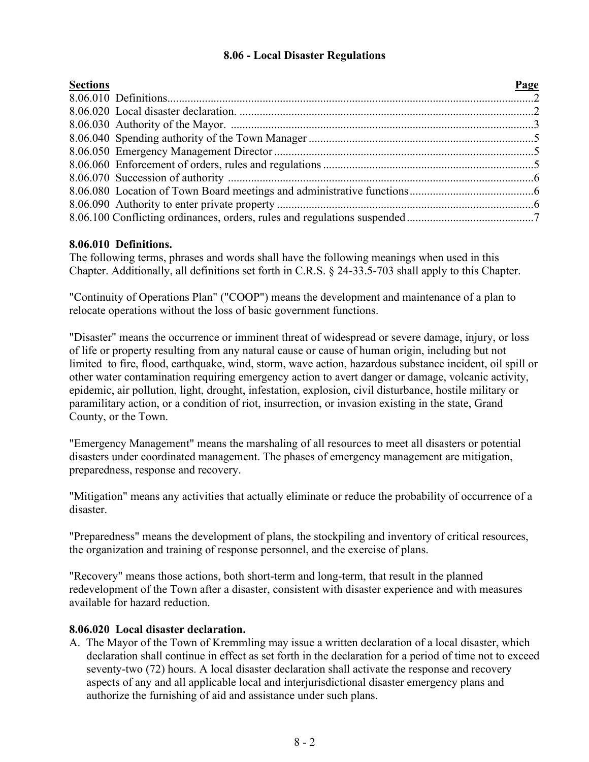## **8.06 - Local Disaster Regulations**

| <b>Sections</b> | Page |
|-----------------|------|
|                 |      |
|                 |      |
|                 |      |
|                 |      |
|                 |      |
|                 |      |
|                 |      |
|                 |      |
|                 |      |
|                 |      |

#### **8.06.010 Definitions.**

The following terms, phrases and words shall have the following meanings when used in this Chapter. Additionally, all definitions set forth in C.R.S. § 24-33.5-703 shall apply to this Chapter.

"Continuity of Operations Plan" ("COOP") means the development and maintenance of a plan to relocate operations without the loss of basic government functions.

"Disaster" means the occurrence or imminent threat of widespread or severe damage, injury, or loss of life or property resulting from any natural cause or cause of human origin, including but not limited to fire, flood, earthquake, wind, storm, wave action, hazardous substance incident, oil spill or other water contamination requiring emergency action to avert danger or damage, volcanic activity, epidemic, air pollution, light, drought, infestation, explosion, civil disturbance, hostile military or paramilitary action, or a condition of riot, insurrection, or invasion existing in the state, Grand County, or the Town.

"Emergency Management" means the marshaling of all resources to meet all disasters or potential disasters under coordinated management. The phases of emergency management are mitigation, preparedness, response and recovery.

"Mitigation" means any activities that actually eliminate or reduce the probability of occurrence of a disaster.

"Preparedness" means the development of plans, the stockpiling and inventory of critical resources, the organization and training of response personnel, and the exercise of plans.

"Recovery" means those actions, both short-term and long-term, that result in the planned redevelopment of the Town after a disaster, consistent with disaster experience and with measures available for hazard reduction.

## **8.06.020 Local disaster declaration.**

A. The Mayor of the Town of Kremmling may issue a written declaration of a local disaster, which declaration shall continue in effect as set forth in the declaration for a period of time not to exceed seventy-two (72) hours. A local disaster declaration shall activate the response and recovery aspects of any and all applicable local and interjurisdictional disaster emergency plans and authorize the furnishing of aid and assistance under such plans.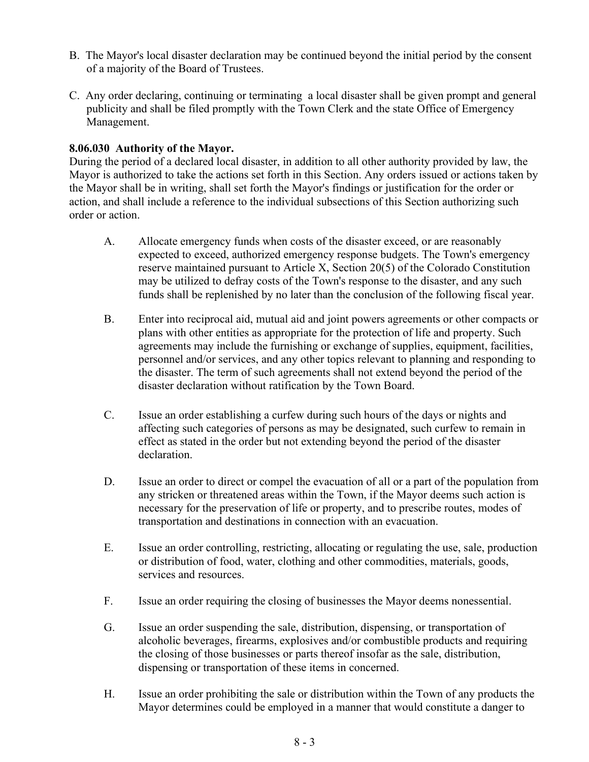- B. The Mayor's local disaster declaration may be continued beyond the initial period by the consent of a majority of the Board of Trustees.
- C. Any order declaring, continuing or terminating a local disaster shall be given prompt and general publicity and shall be filed promptly with the Town Clerk and the state Office of Emergency Management.

## **8.06.030 Authority of the Mayor.**

During the period of a declared local disaster, in addition to all other authority provided by law, the Mayor is authorized to take the actions set forth in this Section. Any orders issued or actions taken by the Mayor shall be in writing, shall set forth the Mayor's findings or justification for the order or action, and shall include a reference to the individual subsections of this Section authorizing such order or action.

- A. Allocate emergency funds when costs of the disaster exceed, or are reasonably expected to exceed, authorized emergency response budgets. The Town's emergency reserve maintained pursuant to Article X, Section 20(5) of the Colorado Constitution may be utilized to defray costs of the Town's response to the disaster, and any such funds shall be replenished by no later than the conclusion of the following fiscal year.
- B. Enter into reciprocal aid, mutual aid and joint powers agreements or other compacts or plans with other entities as appropriate for the protection of life and property. Such agreements may include the furnishing or exchange of supplies, equipment, facilities, personnel and/or services, and any other topics relevant to planning and responding to the disaster. The term of such agreements shall not extend beyond the period of the disaster declaration without ratification by the Town Board.
- C. Issue an order establishing a curfew during such hours of the days or nights and affecting such categories of persons as may be designated, such curfew to remain in effect as stated in the order but not extending beyond the period of the disaster declaration.
- D. Issue an order to direct or compel the evacuation of all or a part of the population from any stricken or threatened areas within the Town, if the Mayor deems such action is necessary for the preservation of life or property, and to prescribe routes, modes of transportation and destinations in connection with an evacuation.
- E. Issue an order controlling, restricting, allocating or regulating the use, sale, production or distribution of food, water, clothing and other commodities, materials, goods, services and resources.
- F. Issue an order requiring the closing of businesses the Mayor deems nonessential.
- G. Issue an order suspending the sale, distribution, dispensing, or transportation of alcoholic beverages, firearms, explosives and/or combustible products and requiring the closing of those businesses or parts thereof insofar as the sale, distribution, dispensing or transportation of these items in concerned.
- H. Issue an order prohibiting the sale or distribution within the Town of any products the Mayor determines could be employed in a manner that would constitute a danger to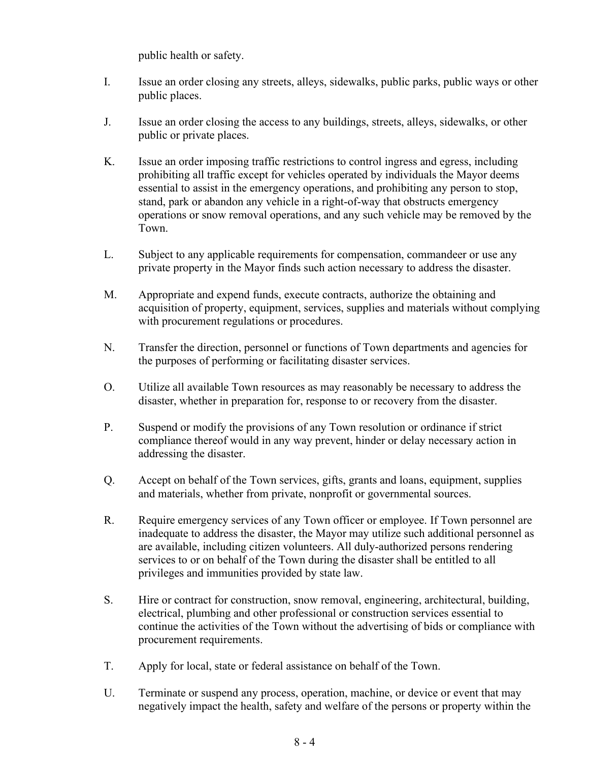public health or safety.

- I. Issue an order closing any streets, alleys, sidewalks, public parks, public ways or other public places.
- J. Issue an order closing the access to any buildings, streets, alleys, sidewalks, or other public or private places.
- K. Issue an order imposing traffic restrictions to control ingress and egress, including prohibiting all traffic except for vehicles operated by individuals the Mayor deems essential to assist in the emergency operations, and prohibiting any person to stop, stand, park or abandon any vehicle in a right-of-way that obstructs emergency operations or snow removal operations, and any such vehicle may be removed by the Town.
- L. Subject to any applicable requirements for compensation, commandeer or use any private property in the Mayor finds such action necessary to address the disaster.
- M. Appropriate and expend funds, execute contracts, authorize the obtaining and acquisition of property, equipment, services, supplies and materials without complying with procurement regulations or procedures.
- N. Transfer the direction, personnel or functions of Town departments and agencies for the purposes of performing or facilitating disaster services.
- O. Utilize all available Town resources as may reasonably be necessary to address the disaster, whether in preparation for, response to or recovery from the disaster.
- P. Suspend or modify the provisions of any Town resolution or ordinance if strict compliance thereof would in any way prevent, hinder or delay necessary action in addressing the disaster.
- Q. Accept on behalf of the Town services, gifts, grants and loans, equipment, supplies and materials, whether from private, nonprofit or governmental sources.
- R. Require emergency services of any Town officer or employee. If Town personnel are inadequate to address the disaster, the Mayor may utilize such additional personnel as are available, including citizen volunteers. All duly-authorized persons rendering services to or on behalf of the Town during the disaster shall be entitled to all privileges and immunities provided by state law.
- S. Hire or contract for construction, snow removal, engineering, architectural, building, electrical, plumbing and other professional or construction services essential to continue the activities of the Town without the advertising of bids or compliance with procurement requirements.
- T. Apply for local, state or federal assistance on behalf of the Town.
- U. Terminate or suspend any process, operation, machine, or device or event that may negatively impact the health, safety and welfare of the persons or property within the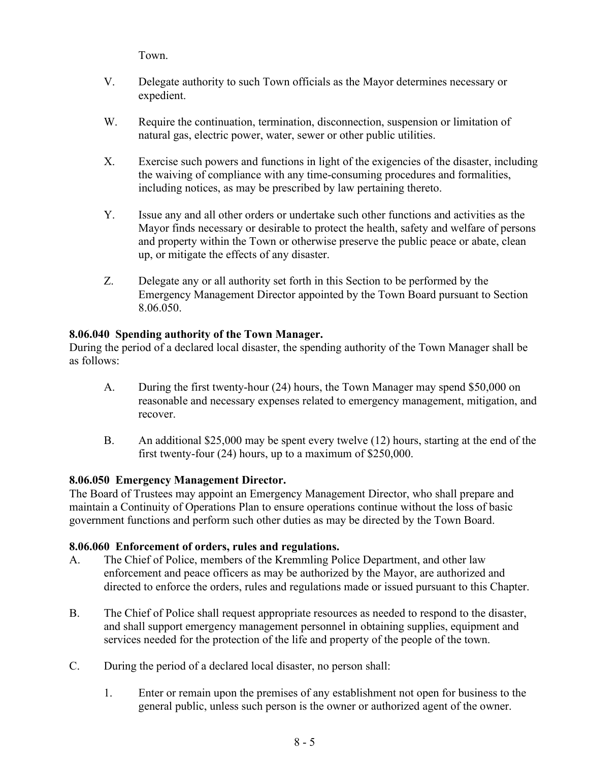Town.

- V. Delegate authority to such Town officials as the Mayor determines necessary or expedient.
- W. Require the continuation, termination, disconnection, suspension or limitation of natural gas, electric power, water, sewer or other public utilities.
- X. Exercise such powers and functions in light of the exigencies of the disaster, including the waiving of compliance with any time-consuming procedures and formalities, including notices, as may be prescribed by law pertaining thereto.
- Y. Issue any and all other orders or undertake such other functions and activities as the Mayor finds necessary or desirable to protect the health, safety and welfare of persons and property within the Town or otherwise preserve the public peace or abate, clean up, or mitigate the effects of any disaster.
- Z. Delegate any or all authority set forth in this Section to be performed by the Emergency Management Director appointed by the Town Board pursuant to Section 8.06.050.

## **8.06.040 Spending authority of the Town Manager.**

During the period of a declared local disaster, the spending authority of the Town Manager shall be as follows:

- A. During the first twenty-hour (24) hours, the Town Manager may spend \$50,000 on reasonable and necessary expenses related to emergency management, mitigation, and recover.
- B. An additional \$25,000 may be spent every twelve (12) hours, starting at the end of the first twenty-four (24) hours, up to a maximum of \$250,000.

## **8.06.050 Emergency Management Director.**

The Board of Trustees may appoint an Emergency Management Director, who shall prepare and maintain a Continuity of Operations Plan to ensure operations continue without the loss of basic government functions and perform such other duties as may be directed by the Town Board.

## **8.06.060 Enforcement of orders, rules and regulations.**

- A. The Chief of Police, members of the Kremmling Police Department, and other law enforcement and peace officers as may be authorized by the Mayor, are authorized and directed to enforce the orders, rules and regulations made or issued pursuant to this Chapter.
- B. The Chief of Police shall request appropriate resources as needed to respond to the disaster, and shall support emergency management personnel in obtaining supplies, equipment and services needed for the protection of the life and property of the people of the town.
- C. During the period of a declared local disaster, no person shall:
	- 1. Enter or remain upon the premises of any establishment not open for business to the general public, unless such person is the owner or authorized agent of the owner.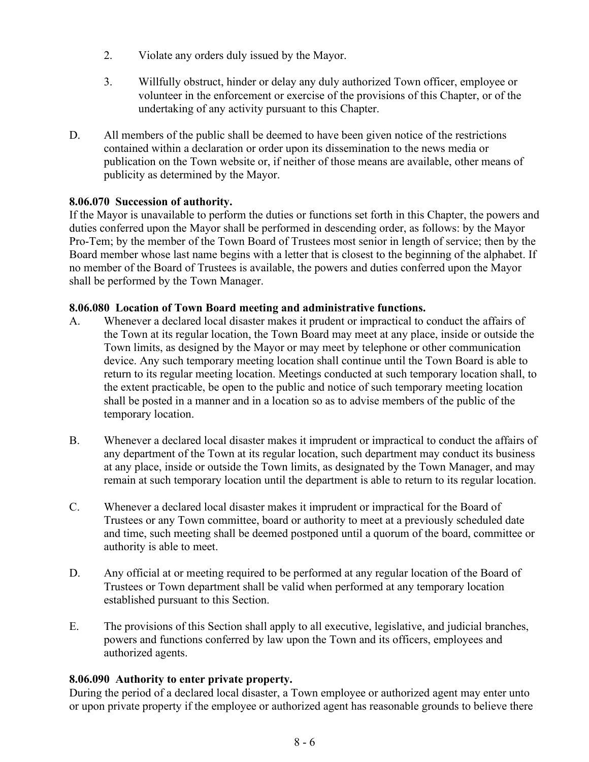- 2. Violate any orders duly issued by the Mayor.
- 3. Willfully obstruct, hinder or delay any duly authorized Town officer, employee or volunteer in the enforcement or exercise of the provisions of this Chapter, or of the undertaking of any activity pursuant to this Chapter.
- D. All members of the public shall be deemed to have been given notice of the restrictions contained within a declaration or order upon its dissemination to the news media or publication on the Town website or, if neither of those means are available, other means of publicity as determined by the Mayor.

## **8.06.070 Succession of authority.**

If the Mayor is unavailable to perform the duties or functions set forth in this Chapter, the powers and duties conferred upon the Mayor shall be performed in descending order, as follows: by the Mayor Pro-Tem; by the member of the Town Board of Trustees most senior in length of service; then by the Board member whose last name begins with a letter that is closest to the beginning of the alphabet. If no member of the Board of Trustees is available, the powers and duties conferred upon the Mayor shall be performed by the Town Manager.

## **8.06.080 Location of Town Board meeting and administrative functions.**

- A. Whenever a declared local disaster makes it prudent or impractical to conduct the affairs of the Town at its regular location, the Town Board may meet at any place, inside or outside the Town limits, as designed by the Mayor or may meet by telephone or other communication device. Any such temporary meeting location shall continue until the Town Board is able to return to its regular meeting location. Meetings conducted at such temporary location shall, to the extent practicable, be open to the public and notice of such temporary meeting location shall be posted in a manner and in a location so as to advise members of the public of the temporary location.
- B. Whenever a declared local disaster makes it imprudent or impractical to conduct the affairs of any department of the Town at its regular location, such department may conduct its business at any place, inside or outside the Town limits, as designated by the Town Manager, and may remain at such temporary location until the department is able to return to its regular location.
- C. Whenever a declared local disaster makes it imprudent or impractical for the Board of Trustees or any Town committee, board or authority to meet at a previously scheduled date and time, such meeting shall be deemed postponed until a quorum of the board, committee or authority is able to meet.
- D. Any official at or meeting required to be performed at any regular location of the Board of Trustees or Town department shall be valid when performed at any temporary location established pursuant to this Section.
- E. The provisions of this Section shall apply to all executive, legislative, and judicial branches, powers and functions conferred by law upon the Town and its officers, employees and authorized agents.

## **8.06.090 Authority to enter private property.**

During the period of a declared local disaster, a Town employee or authorized agent may enter unto or upon private property if the employee or authorized agent has reasonable grounds to believe there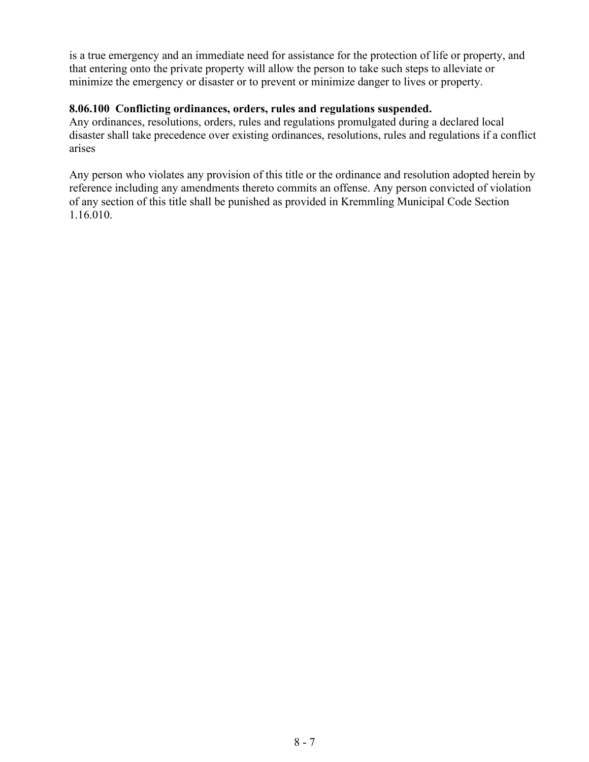is a true emergency and an immediate need for assistance for the protection of life or property, and that entering onto the private property will allow the person to take such steps to alleviate or minimize the emergency or disaster or to prevent or minimize danger to lives or property.

#### **8.06.100 Conflicting ordinances, orders, rules and regulations suspended.**

Any ordinances, resolutions, orders, rules and regulations promulgated during a declared local disaster shall take precedence over existing ordinances, resolutions, rules and regulations if a conflict arises

Any person who violates any provision of this title or the ordinance and resolution adopted herein by reference including any amendments thereto commits an offense. Any person convicted of violation of any section of this title shall be punished as provided in Kremmling Municipal Code Section 1.16.010.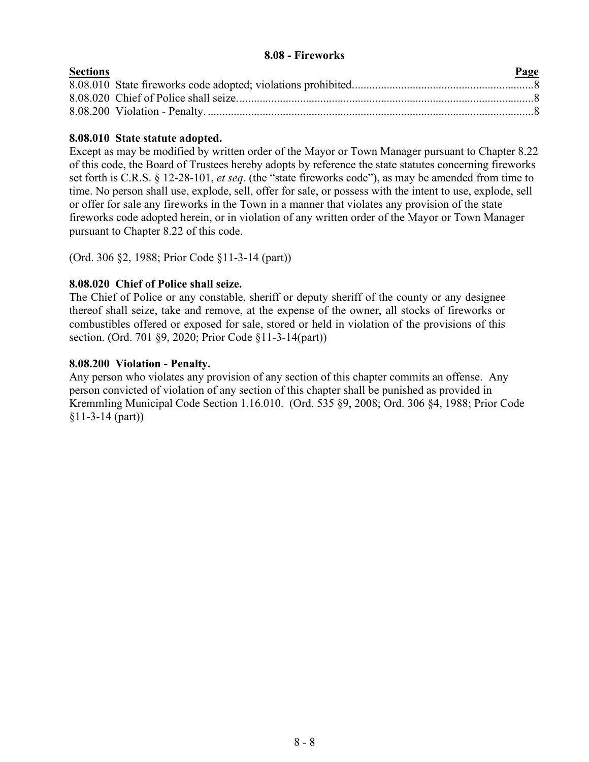#### **8.08 - Fireworks**

| <b>Sections</b> | Page |
|-----------------|------|
|                 |      |
|                 |      |
|                 |      |

#### **8.08.010 State statute adopted.**

Except as may be modified by written order of the Mayor or Town Manager pursuant to Chapter 8.22 of this code, the Board of Trustees hereby adopts by reference the state statutes concerning fireworks set forth is C.R.S. § 12-28-101, *et seq.* (the "state fireworks code"), as may be amended from time to time. No person shall use, explode, sell, offer for sale, or possess with the intent to use, explode, sell or offer for sale any fireworks in the Town in a manner that violates any provision of the state fireworks code adopted herein, or in violation of any written order of the Mayor or Town Manager pursuant to Chapter 8.22 of this code.

(Ord. 306 §2, 1988; Prior Code §11-3-14 (part))

#### **8.08.020 Chief of Police shall seize.**

The Chief of Police or any constable, sheriff or deputy sheriff of the county or any designee thereof shall seize, take and remove, at the expense of the owner, all stocks of fireworks or combustibles offered or exposed for sale, stored or held in violation of the provisions of this section. (Ord. 701 §9, 2020; Prior Code §11-3-14(part))

#### **8.08.200 Violation - Penalty.**

Any person who violates any provision of any section of this chapter commits an offense. Any person convicted of violation of any section of this chapter shall be punished as provided in Kremmling Municipal Code Section 1.16.010. (Ord. 535 §9, 2008; Ord. 306 §4, 1988; Prior Code §11-3-14 (part))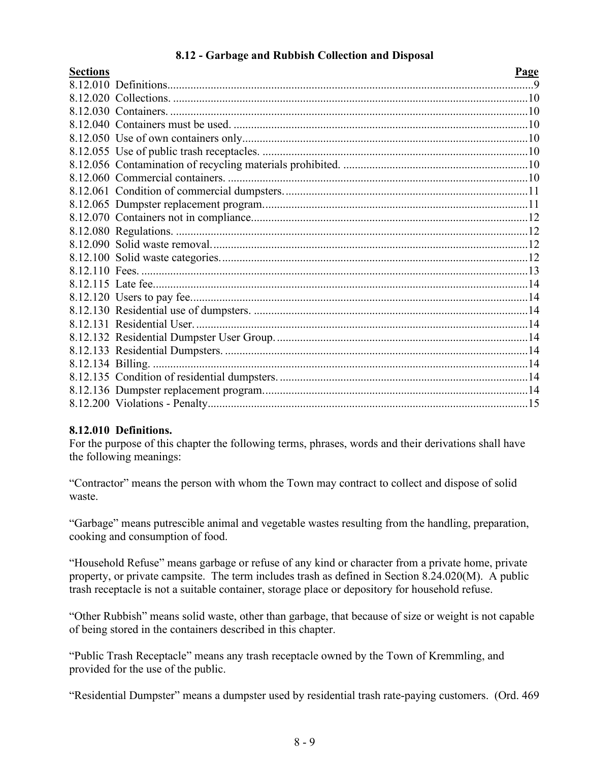## **8.12 - Garbage and Rubbish Collection and Disposal**

<span id="page-8-0"></span>

| <b>Sections</b> | Page |
|-----------------|------|
|                 |      |
|                 |      |
|                 |      |
|                 |      |
|                 |      |
|                 |      |
|                 |      |
|                 |      |
|                 |      |
|                 |      |
|                 |      |
|                 |      |
|                 |      |
|                 |      |
|                 |      |
|                 |      |
|                 |      |
|                 |      |
|                 |      |
|                 |      |
|                 |      |
|                 |      |
|                 |      |
|                 |      |
|                 |      |
|                 |      |

## **8.12.010 Definitions.**

For the purpose of this chapter the following terms, phrases, words and their derivations shall have the following meanings:

"Contractor" means the person with whom the Town may contract to collect and dispose of solid waste.

"Garbage" means putrescible animal and vegetable wastes resulting from the handling, preparation, cooking and consumption of food.

"Household Refuse" means garbage or refuse of any kind or character from a private home, private property, or private campsite. The term includes trash as defined in Section 8.24.020(M). A public trash receptacle is not a suitable container, storage place or depository for household refuse.

"Other Rubbish" means solid waste, other than garbage, that because of size or weight is not capable of being stored in the containers described in this chapter.

"Public Trash Receptacle" means any trash receptacle owned by the Town of Kremmling, and provided for the use of the public.

"Residential Dumpster" means a dumpster used by residential trash rate-paying customers. (Ord. 469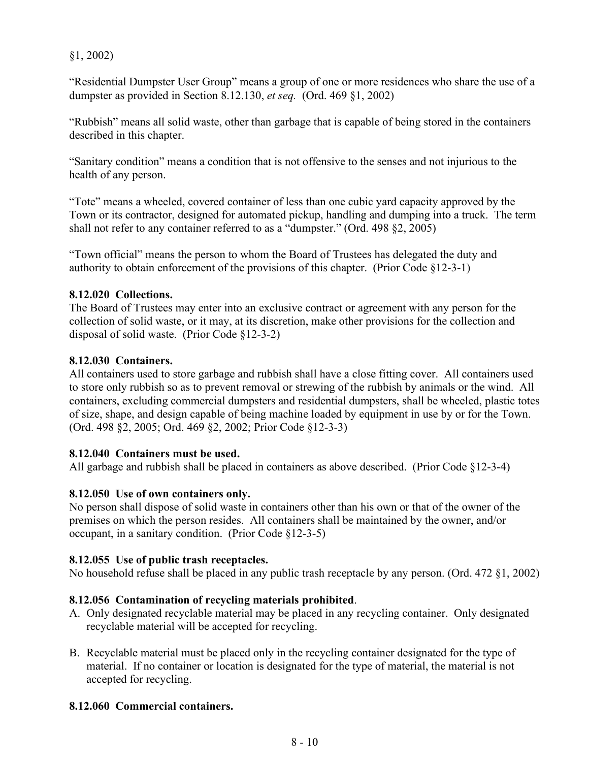§1, 2002)

"Residential Dumpster User Group" means a group of one or more residences who share the use of a dumpster as provided in Section 8.12.130, *et seq.* (Ord. 469 §1, 2002)

"Rubbish" means all solid waste, other than garbage that is capable of being stored in the containers described in this chapter.

"Sanitary condition" means a condition that is not offensive to the senses and not injurious to the health of any person.

"Tote" means a wheeled, covered container of less than one cubic yard capacity approved by the Town or its contractor, designed for automated pickup, handling and dumping into a truck. The term shall not refer to any container referred to as a "dumpster." (Ord. 498 §2, 2005)

"Town official" means the person to whom the Board of Trustees has delegated the duty and authority to obtain enforcement of the provisions of this chapter. (Prior Code §12-3-1)

## **8.12.020 Collections.**

The Board of Trustees may enter into an exclusive contract or agreement with any person for the collection of solid waste, or it may, at its discretion, make other provisions for the collection and disposal of solid waste. (Prior Code §12-3-2)

## **8.12.030 Containers.**

All containers used to store garbage and rubbish shall have a close fitting cover. All containers used to store only rubbish so as to prevent removal or strewing of the rubbish by animals or the wind. All containers, excluding commercial dumpsters and residential dumpsters, shall be wheeled, plastic totes of size, shape, and design capable of being machine loaded by equipment in use by or for the Town. (Ord. 498 §2, 2005; Ord. 469 §2, 2002; Prior Code §12-3-3)

## **8.12.040 Containers must be used.**

All garbage and rubbish shall be placed in containers as above described. (Prior Code §12-3-4)

# **8.12.050 Use of own containers only.**

No person shall dispose of solid waste in containers other than his own or that of the owner of the premises on which the person resides. All containers shall be maintained by the owner, and/or occupant, in a sanitary condition. (Prior Code §12-3-5)

# **8.12.055 Use of public trash receptacles.**

No household refuse shall be placed in any public trash receptacle by any person. (Ord. 472 §1, 2002)

# **8.12.056 Contamination of recycling materials prohibited**.

- A. Only designated recyclable material may be placed in any recycling container. Only designated recyclable material will be accepted for recycling.
- B. Recyclable material must be placed only in the recycling container designated for the type of material. If no container or location is designated for the type of material, the material is not accepted for recycling.

# **8.12.060 Commercial containers.**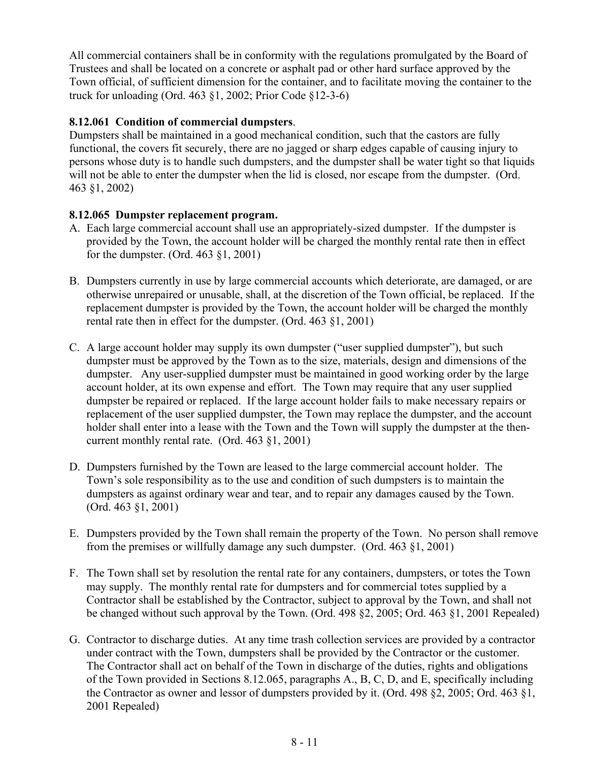All commercial containers shall be in conformity with the regulations promulgated by the Board of Trustees and shall be located on a concrete or asphalt pad or other hard surface approved by the Town official, of sufficient dimension for the container, and to facilitate moving the container to the truck for unloading (Ord. 463 §1, 2002; Prior Code §12-3-6)

## **8.12.061 Condition of commercial dumpsters**.

Dumpsters shall be maintained in a good mechanical condition, such that the castors are fully functional, the covers fit securely, there are no jagged or sharp edges capable of causing injury to persons whose duty is to handle such dumpsters, and the dumpster shall be water tight so that liquids will not be able to enter the dumpster when the lid is closed, nor escape from the dumpster. (Ord. 463 §1, 2002)

## **8.12.065 Dumpster replacement program.**

- A. Each large commercial account shall use an appropriately-sized dumpster. If the dumpster is provided by the Town, the account holder will be charged the monthly rental rate then in effect for the dumpster. (Ord. 463 §1, 2001)
- B. Dumpsters currently in use by large commercial accounts which deteriorate, are damaged, or are otherwise unrepaired or unusable, shall, at the discretion of the Town official, be replaced. If the replacement dumpster is provided by the Town, the account holder will be charged the monthly rental rate then in effect for the dumpster. (Ord. 463 §1, 2001)
- C. A large account holder may supply its own dumpster ("user supplied dumpster"), but such dumpster must be approved by the Town as to the size, materials, design and dimensions of the dumpster. Any user-supplied dumpster must be maintained in good working order by the large account holder, at its own expense and effort. The Town may require that any user supplied dumpster be repaired or replaced. If the large account holder fails to make necessary repairs or replacement of the user supplied dumpster, the Town may replace the dumpster, and the account holder shall enter into a lease with the Town and the Town will supply the dumpster at the thencurrent monthly rental rate. (Ord. 463 §1, 2001)
- D. Dumpsters furnished by the Town are leased to the large commercial account holder. The Town's sole responsibility as to the use and condition of such dumpsters is to maintain the dumpsters as against ordinary wear and tear, and to repair any damages caused by the Town. (Ord. 463 §1, 2001)
- E. Dumpsters provided by the Town shall remain the property of the Town. No person shall remove from the premises or willfully damage any such dumpster. (Ord. 463 §1, 2001)
- F. The Town shall set by resolution the rental rate for any containers, dumpsters, or totes the Town may supply. The monthly rental rate for dumpsters and for commercial totes supplied by a Contractor shall be established by the Contractor, subject to approval by the Town, and shall not be changed without such approval by the Town. (Ord. 498 §2, 2005; Ord. 463 §1, 2001 Repealed)
- G. Contractor to discharge duties. At any time trash collection services are provided by a contractor under contract with the Town, dumpsters shall be provided by the Contractor or the customer. The Contractor shall act on behalf of the Town in discharge of the duties, rights and obligations of the Town provided in Sections 8.12.065, paragraphs A., B, C, D, and E, specifically including the Contractor as owner and lessor of dumpsters provided by it. (Ord. 498 §2, 2005; Ord. 463 §1, 2001 Repealed)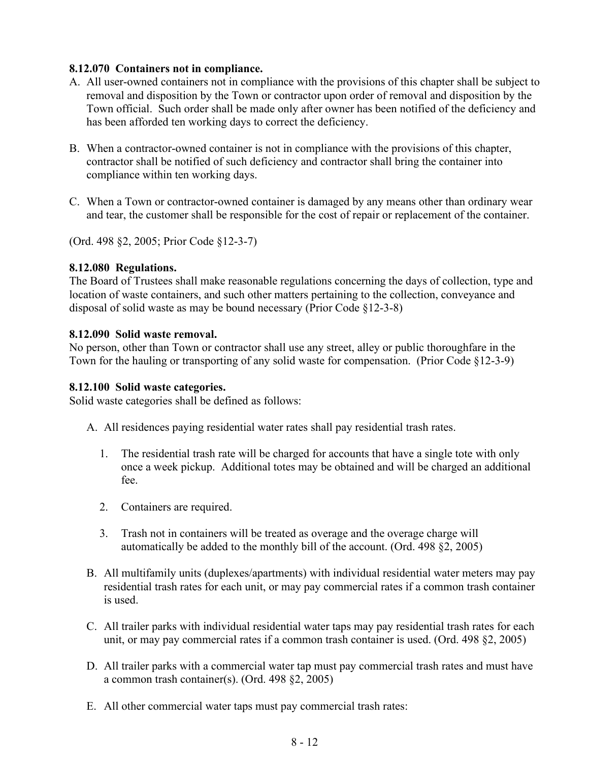## **8.12.070 Containers not in compliance.**

- A. All user-owned containers not in compliance with the provisions of this chapter shall be subject to removal and disposition by the Town or contractor upon order of removal and disposition by the Town official. Such order shall be made only after owner has been notified of the deficiency and has been afforded ten working days to correct the deficiency.
- B. When a contractor-owned container is not in compliance with the provisions of this chapter, contractor shall be notified of such deficiency and contractor shall bring the container into compliance within ten working days.
- C. When a Town or contractor-owned container is damaged by any means other than ordinary wear and tear, the customer shall be responsible for the cost of repair or replacement of the container.

(Ord. 498 §2, 2005; Prior Code §12-3-7)

#### **8.12.080 Regulations.**

The Board of Trustees shall make reasonable regulations concerning the days of collection, type and location of waste containers, and such other matters pertaining to the collection, conveyance and disposal of solid waste as may be bound necessary (Prior Code §12-3-8)

#### **8.12.090 Solid waste removal.**

No person, other than Town or contractor shall use any street, alley or public thoroughfare in the Town for the hauling or transporting of any solid waste for compensation. (Prior Code §12-3-9)

#### **8.12.100 Solid waste categories.**

Solid waste categories shall be defined as follows:

- A. All residences paying residential water rates shall pay residential trash rates.
	- 1. The residential trash rate will be charged for accounts that have a single tote with only once a week pickup. Additional totes may be obtained and will be charged an additional fee.
	- 2. Containers are required.
	- 3. Trash not in containers will be treated as overage and the overage charge will automatically be added to the monthly bill of the account. (Ord. 498 §2, 2005)
- B. All multifamily units (duplexes/apartments) with individual residential water meters may pay residential trash rates for each unit, or may pay commercial rates if a common trash container is used.
- C. All trailer parks with individual residential water taps may pay residential trash rates for each unit, or may pay commercial rates if a common trash container is used. (Ord. 498 §2, 2005)
- D. All trailer parks with a commercial water tap must pay commercial trash rates and must have a common trash container(s). (Ord. 498 §2, 2005)
- E. All other commercial water taps must pay commercial trash rates: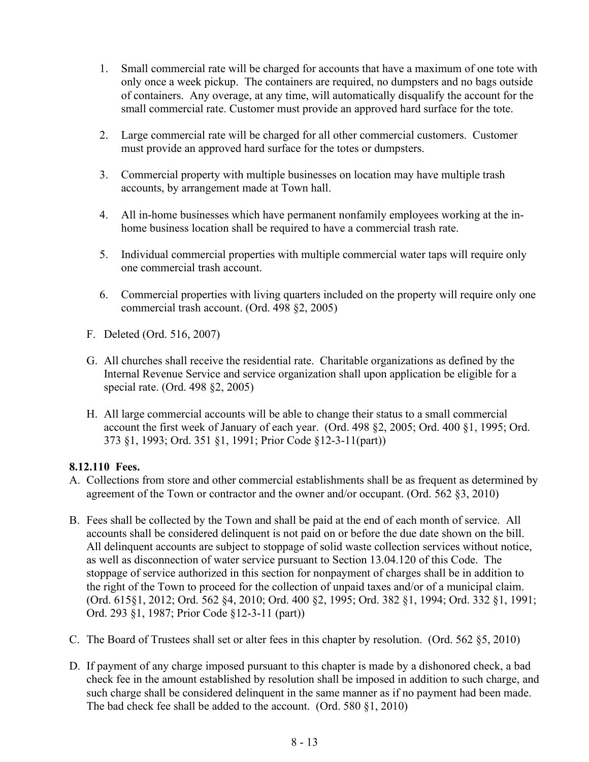- 1. Small commercial rate will be charged for accounts that have a maximum of one tote with only once a week pickup. The containers are required, no dumpsters and no bags outside of containers. Any overage, at any time, will automatically disqualify the account for the small commercial rate. Customer must provide an approved hard surface for the tote.
- 2. Large commercial rate will be charged for all other commercial customers. Customer must provide an approved hard surface for the totes or dumpsters.
- 3. Commercial property with multiple businesses on location may have multiple trash accounts, by arrangement made at Town hall.
- 4. All in-home businesses which have permanent nonfamily employees working at the inhome business location shall be required to have a commercial trash rate.
- 5. Individual commercial properties with multiple commercial water taps will require only one commercial trash account.
- 6. Commercial properties with living quarters included on the property will require only one commercial trash account. (Ord. 498 §2, 2005)
- F. Deleted (Ord. 516, 2007)
- G. All churches shall receive the residential rate. Charitable organizations as defined by the Internal Revenue Service and service organization shall upon application be eligible for a special rate. (Ord. 498 §2, 2005)
- H. All large commercial accounts will be able to change their status to a small commercial account the first week of January of each year. (Ord. 498 §2, 2005; Ord. 400 §1, 1995; Ord. 373 §1, 1993; Ord. 351 §1, 1991; Prior Code §12-3-11(part))

## **8.12.110 Fees.**

- A. Collections from store and other commercial establishments shall be as frequent as determined by agreement of the Town or contractor and the owner and/or occupant. (Ord. 562 §3, 2010)
- B. Fees shall be collected by the Town and shall be paid at the end of each month of service. All accounts shall be considered delinquent is not paid on or before the due date shown on the bill. All delinquent accounts are subject to stoppage of solid waste collection services without notice, as well as disconnection of water service pursuant to Section 13.04.120 of this Code. The stoppage of service authorized in this section for nonpayment of charges shall be in addition to the right of the Town to proceed for the collection of unpaid taxes and/or of a municipal claim. (Ord. 615§1, 2012; Ord. 562 §4, 2010; Ord. 400 §2, 1995; Ord. 382 §1, 1994; Ord. 332 §1, 1991; Ord. 293 §1, 1987; Prior Code §12-3-11 (part))
- C. The Board of Trustees shall set or alter fees in this chapter by resolution. (Ord. 562 §5, 2010)
- D. If payment of any charge imposed pursuant to this chapter is made by a dishonored check, a bad check fee in the amount established by resolution shall be imposed in addition to such charge, and such charge shall be considered delinquent in the same manner as if no payment had been made. The bad check fee shall be added to the account. (Ord. 580 §1, 2010)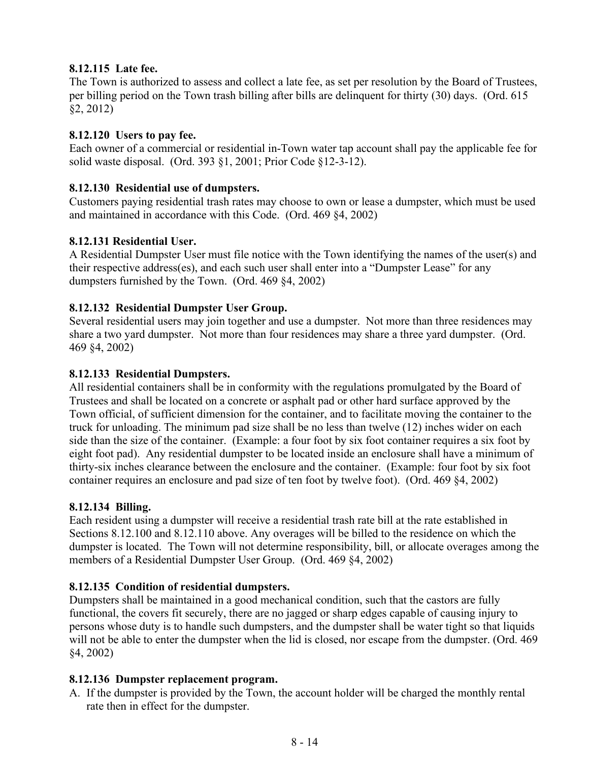## **8.12.115 Late fee.**

The Town is authorized to assess and collect a late fee, as set per resolution by the Board of Trustees, per billing period on the Town trash billing after bills are delinquent for thirty (30) days. (Ord. 615 §2, 2012)

## **8.12.120 Users to pay fee.**

Each owner of a commercial or residential in-Town water tap account shall pay the applicable fee for solid waste disposal. (Ord. 393 §1, 2001; Prior Code §12-3-12).

## **8.12.130 Residential use of dumpsters.**

Customers paying residential trash rates may choose to own or lease a dumpster, which must be used and maintained in accordance with this Code. (Ord. 469 §4, 2002)

## **8.12.131 Residential User.**

A Residential Dumpster User must file notice with the Town identifying the names of the user(s) and their respective address(es), and each such user shall enter into a "Dumpster Lease" for any dumpsters furnished by the Town. (Ord. 469 §4, 2002)

## **8.12.132 Residential Dumpster User Group.**

Several residential users may join together and use a dumpster. Not more than three residences may share a two yard dumpster. Not more than four residences may share a three yard dumpster. (Ord. 469 §4, 2002)

## **8.12.133 Residential Dumpsters.**

All residential containers shall be in conformity with the regulations promulgated by the Board of Trustees and shall be located on a concrete or asphalt pad or other hard surface approved by the Town official, of sufficient dimension for the container, and to facilitate moving the container to the truck for unloading. The minimum pad size shall be no less than twelve (12) inches wider on each side than the size of the container. (Example: a four foot by six foot container requires a six foot by eight foot pad). Any residential dumpster to be located inside an enclosure shall have a minimum of thirty-six inches clearance between the enclosure and the container. (Example: four foot by six foot container requires an enclosure and pad size of ten foot by twelve foot). (Ord. 469 §4, 2002)

## **8.12.134 Billing.**

Each resident using a dumpster will receive a residential trash rate bill at the rate established in Sections 8.12.100 and 8.12.110 above. Any overages will be billed to the residence on which the dumpster is located. The Town will not determine responsibility, bill, or allocate overages among the members of a Residential Dumpster User Group. (Ord. 469 §4, 2002)

## **8.12.135 Condition of residential dumpsters.**

Dumpsters shall be maintained in a good mechanical condition, such that the castors are fully functional, the covers fit securely, there are no jagged or sharp edges capable of causing injury to persons whose duty is to handle such dumpsters, and the dumpster shall be water tight so that liquids will not be able to enter the dumpster when the lid is closed, nor escape from the dumpster. (Ord. 469 §4, 2002)

# **8.12.136 Dumpster replacement program.**

A. If the dumpster is provided by the Town, the account holder will be charged the monthly rental rate then in effect for the dumpster.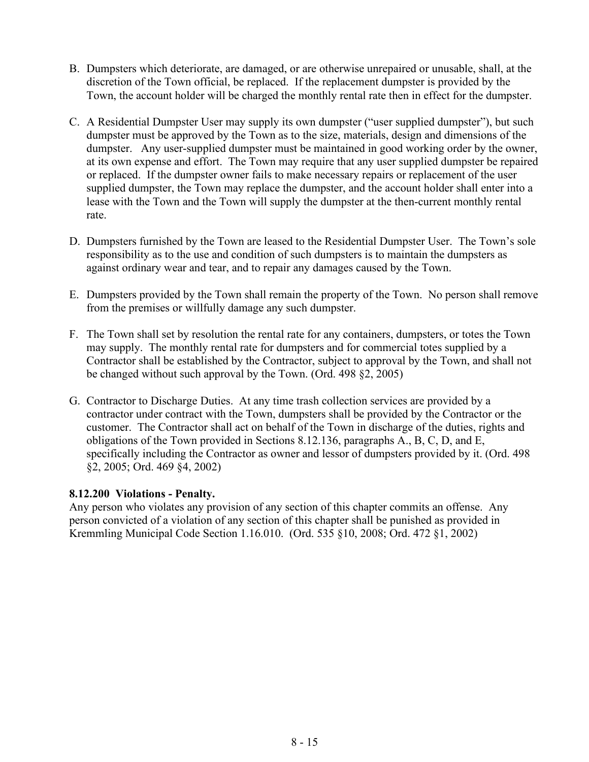- B. Dumpsters which deteriorate, are damaged, or are otherwise unrepaired or unusable, shall, at the discretion of the Town official, be replaced. If the replacement dumpster is provided by the Town, the account holder will be charged the monthly rental rate then in effect for the dumpster.
- C. A Residential Dumpster User may supply its own dumpster ("user supplied dumpster"), but such dumpster must be approved by the Town as to the size, materials, design and dimensions of the dumpster. Any user-supplied dumpster must be maintained in good working order by the owner, at its own expense and effort. The Town may require that any user supplied dumpster be repaired or replaced. If the dumpster owner fails to make necessary repairs or replacement of the user supplied dumpster, the Town may replace the dumpster, and the account holder shall enter into a lease with the Town and the Town will supply the dumpster at the then-current monthly rental rate.
- D. Dumpsters furnished by the Town are leased to the Residential Dumpster User. The Town's sole responsibility as to the use and condition of such dumpsters is to maintain the dumpsters as against ordinary wear and tear, and to repair any damages caused by the Town.
- E. Dumpsters provided by the Town shall remain the property of the Town. No person shall remove from the premises or willfully damage any such dumpster.
- F. The Town shall set by resolution the rental rate for any containers, dumpsters, or totes the Town may supply. The monthly rental rate for dumpsters and for commercial totes supplied by a Contractor shall be established by the Contractor, subject to approval by the Town, and shall not be changed without such approval by the Town. (Ord. 498 §2, 2005)
- G. Contractor to Discharge Duties. At any time trash collection services are provided by a contractor under contract with the Town, dumpsters shall be provided by the Contractor or the customer. The Contractor shall act on behalf of the Town in discharge of the duties, rights and obligations of the Town provided in Sections 8.12.136, paragraphs A., B, C, D, and E, specifically including the Contractor as owner and lessor of dumpsters provided by it. (Ord. 498 §2, 2005; Ord. 469 §4, 2002)

## **8.12.200 Violations - Penalty.**

Any person who violates any provision of any section of this chapter commits an offense. Any person convicted of a violation of any section of this chapter shall be punished as provided in Kremmling Municipal Code Section 1.16.010. (Ord. 535 §10, 2008; Ord. 472 §1, 2002)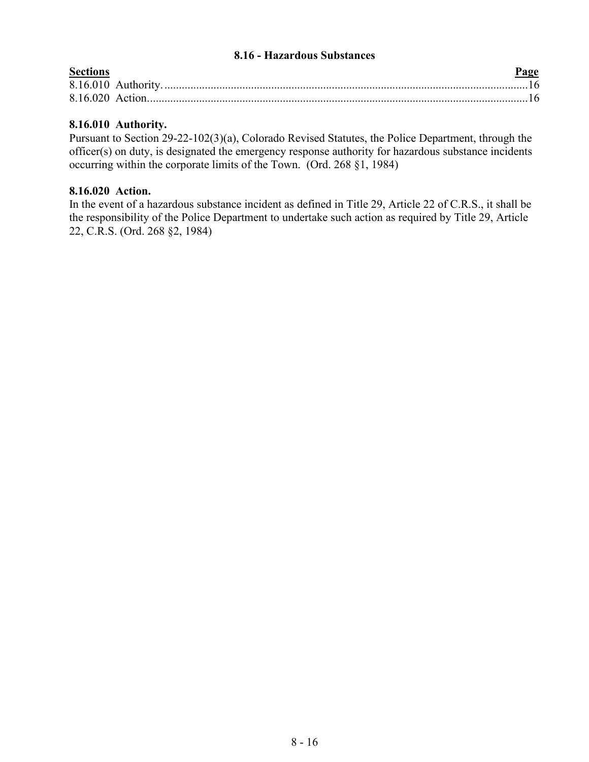#### **8.16 - Hazardous Substances**

<span id="page-15-0"></span>

| <b>Sections</b> | Page |
|-----------------|------|
|                 |      |
|                 |      |

## **8.16.010 Authority.**

Pursuant to Section 29-22-102(3)(a), Colorado Revised Statutes, the Police Department, through the officer(s) on duty, is designated the emergency response authority for hazardous substance incidents occurring within the corporate limits of the Town. (Ord. 268 §1, 1984)

#### **8.16.020 Action.**

In the event of a hazardous substance incident as defined in Title 29, Article 22 of C.R.S., it shall be the responsibility of the Police Department to undertake such action as required by Title 29, Article 22, C.R.S. (Ord. 268 §2, 1984)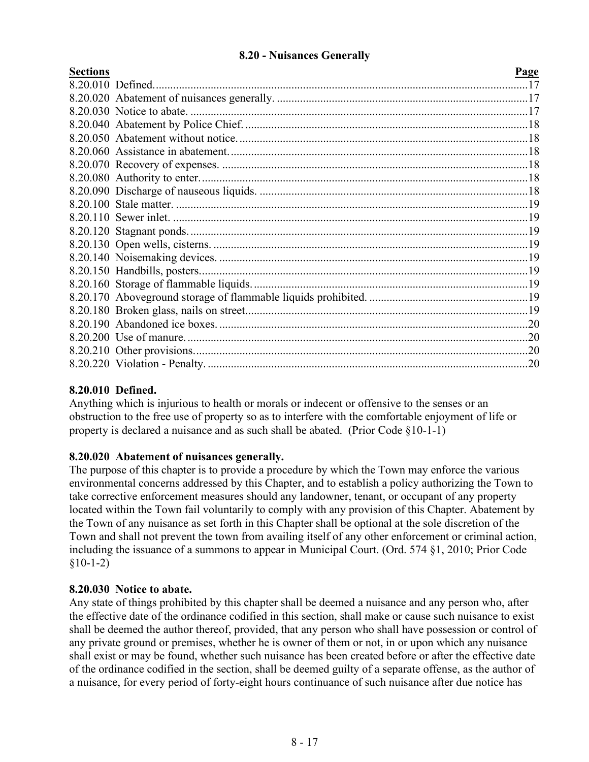## **8.20 - Nuisances Generally**

<span id="page-16-0"></span>

| <b>Sections</b> | Page |
|-----------------|------|
|                 |      |
|                 |      |
|                 |      |
|                 |      |
|                 |      |
|                 |      |
|                 |      |
|                 |      |
|                 |      |
|                 |      |
|                 |      |
|                 |      |
|                 |      |
|                 |      |
|                 |      |
|                 |      |
|                 |      |
|                 |      |
|                 |      |
|                 |      |
|                 |      |
|                 |      |
|                 |      |

## **8.20.010 Defined.**

Anything which is injurious to health or morals or indecent or offensive to the senses or an obstruction to the free use of property so as to interfere with the comfortable enjoyment of life or property is declared a nuisance and as such shall be abated. (Prior Code §10-1-1)

## **8.20.020 Abatement of nuisances generally.**

The purpose of this chapter is to provide a procedure by which the Town may enforce the various environmental concerns addressed by this Chapter, and to establish a policy authorizing the Town to take corrective enforcement measures should any landowner, tenant, or occupant of any property located within the Town fail voluntarily to comply with any provision of this Chapter. Abatement by the Town of any nuisance as set forth in this Chapter shall be optional at the sole discretion of the Town and shall not prevent the town from availing itself of any other enforcement or criminal action, including the issuance of a summons to appear in Municipal Court. (Ord. 574 §1, 2010; Prior Code  $$10-1-2)$ 

#### **8.20.030 Notice to abate.**

Any state of things prohibited by this chapter shall be deemed a nuisance and any person who, after the effective date of the ordinance codified in this section, shall make or cause such nuisance to exist shall be deemed the author thereof, provided, that any person who shall have possession or control of any private ground or premises, whether he is owner of them or not, in or upon which any nuisance shall exist or may be found, whether such nuisance has been created before or after the effective date of the ordinance codified in the section, shall be deemed guilty of a separate offense, as the author of a nuisance, for every period of forty-eight hours continuance of such nuisance after due notice has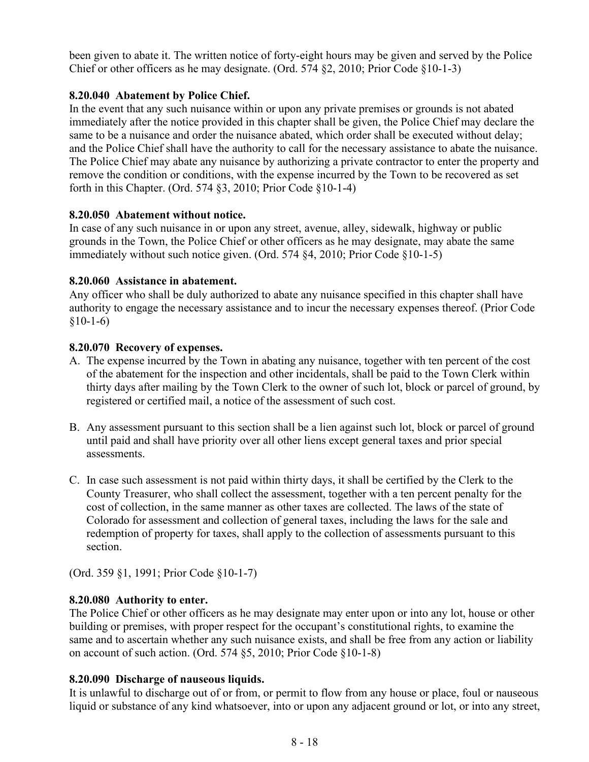been given to abate it. The written notice of forty-eight hours may be given and served by the Police Chief or other officers as he may designate. (Ord. 574 §2, 2010; Prior Code §10-1-3)

## **8.20.040 Abatement by Police Chief.**

In the event that any such nuisance within or upon any private premises or grounds is not abated immediately after the notice provided in this chapter shall be given, the Police Chief may declare the same to be a nuisance and order the nuisance abated, which order shall be executed without delay; and the Police Chief shall have the authority to call for the necessary assistance to abate the nuisance. The Police Chief may abate any nuisance by authorizing a private contractor to enter the property and remove the condition or conditions, with the expense incurred by the Town to be recovered as set forth in this Chapter. (Ord. 574 §3, 2010; Prior Code §10-1-4)

## **8.20.050 Abatement without notice.**

In case of any such nuisance in or upon any street, avenue, alley, sidewalk, highway or public grounds in the Town, the Police Chief or other officers as he may designate, may abate the same immediately without such notice given. (Ord. 574 §4, 2010; Prior Code §10-1-5)

## **8.20.060 Assistance in abatement.**

Any officer who shall be duly authorized to abate any nuisance specified in this chapter shall have authority to engage the necessary assistance and to incur the necessary expenses thereof. (Prior Code  $§10-1-6)$ 

## **8.20.070 Recovery of expenses.**

- A. The expense incurred by the Town in abating any nuisance, together with ten percent of the cost of the abatement for the inspection and other incidentals, shall be paid to the Town Clerk within thirty days after mailing by the Town Clerk to the owner of such lot, block or parcel of ground, by registered or certified mail, a notice of the assessment of such cost.
- B. Any assessment pursuant to this section shall be a lien against such lot, block or parcel of ground until paid and shall have priority over all other liens except general taxes and prior special assessments.
- C. In case such assessment is not paid within thirty days, it shall be certified by the Clerk to the County Treasurer, who shall collect the assessment, together with a ten percent penalty for the cost of collection, in the same manner as other taxes are collected. The laws of the state of Colorado for assessment and collection of general taxes, including the laws for the sale and redemption of property for taxes, shall apply to the collection of assessments pursuant to this section.

(Ord. 359 §1, 1991; Prior Code §10-1-7)

## **8.20.080 Authority to enter.**

The Police Chief or other officers as he may designate may enter upon or into any lot, house or other building or premises, with proper respect for the occupant's constitutional rights, to examine the same and to ascertain whether any such nuisance exists, and shall be free from any action or liability on account of such action. (Ord. 574 §5, 2010; Prior Code §10-1-8)

## **8.20.090 Discharge of nauseous liquids.**

It is unlawful to discharge out of or from, or permit to flow from any house or place, foul or nauseous liquid or substance of any kind whatsoever, into or upon any adjacent ground or lot, or into any street,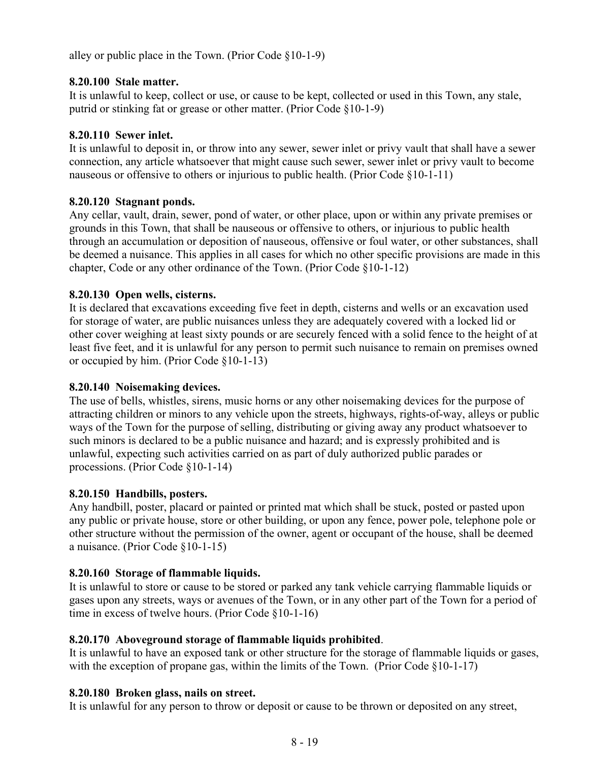alley or public place in the Town. (Prior Code §10-1-9)

## **8.20.100 Stale matter.**

It is unlawful to keep, collect or use, or cause to be kept, collected or used in this Town, any stale, putrid or stinking fat or grease or other matter. (Prior Code §10-1-9)

## **8.20.110 Sewer inlet.**

It is unlawful to deposit in, or throw into any sewer, sewer inlet or privy vault that shall have a sewer connection, any article whatsoever that might cause such sewer, sewer inlet or privy vault to become nauseous or offensive to others or injurious to public health. (Prior Code §10-1-11)

## **8.20.120 Stagnant ponds.**

Any cellar, vault, drain, sewer, pond of water, or other place, upon or within any private premises or grounds in this Town, that shall be nauseous or offensive to others, or injurious to public health through an accumulation or deposition of nauseous, offensive or foul water, or other substances, shall be deemed a nuisance. This applies in all cases for which no other specific provisions are made in this chapter, Code or any other ordinance of the Town. (Prior Code §10-1-12)

## **8.20.130 Open wells, cisterns.**

It is declared that excavations exceeding five feet in depth, cisterns and wells or an excavation used for storage of water, are public nuisances unless they are adequately covered with a locked lid or other cover weighing at least sixty pounds or are securely fenced with a solid fence to the height of at least five feet, and it is unlawful for any person to permit such nuisance to remain on premises owned or occupied by him. (Prior Code §10-1-13)

## **8.20.140 Noisemaking devices.**

The use of bells, whistles, sirens, music horns or any other noisemaking devices for the purpose of attracting children or minors to any vehicle upon the streets, highways, rights-of-way, alleys or public ways of the Town for the purpose of selling, distributing or giving away any product whatsoever to such minors is declared to be a public nuisance and hazard; and is expressly prohibited and is unlawful, expecting such activities carried on as part of duly authorized public parades or processions. (Prior Code §10-1-14)

## **8.20.150 Handbills, posters.**

Any handbill, poster, placard or painted or printed mat which shall be stuck, posted or pasted upon any public or private house, store or other building, or upon any fence, power pole, telephone pole or other structure without the permission of the owner, agent or occupant of the house, shall be deemed a nuisance. (Prior Code §10-1-15)

# **8.20.160 Storage of flammable liquids.**

It is unlawful to store or cause to be stored or parked any tank vehicle carrying flammable liquids or gases upon any streets, ways or avenues of the Town, or in any other part of the Town for a period of time in excess of twelve hours. (Prior Code §10-1-16)

# **8.20.170 Aboveground storage of flammable liquids prohibited**.

It is unlawful to have an exposed tank or other structure for the storage of flammable liquids or gases, with the exception of propane gas, within the limits of the Town. (Prior Code §10-1-17)

## **8.20.180 Broken glass, nails on street.**

It is unlawful for any person to throw or deposit or cause to be thrown or deposited on any street,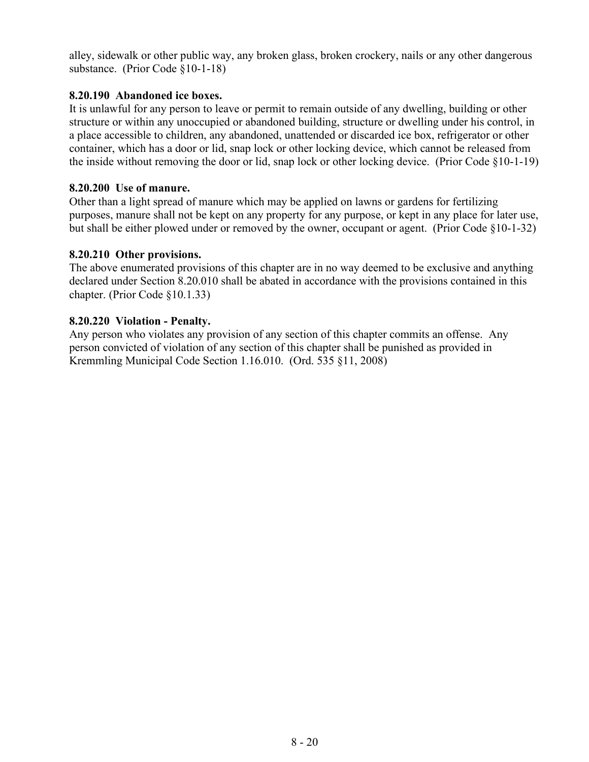alley, sidewalk or other public way, any broken glass, broken crockery, nails or any other dangerous substance. (Prior Code §10-1-18)

#### **8.20.190 Abandoned ice boxes.**

It is unlawful for any person to leave or permit to remain outside of any dwelling, building or other structure or within any unoccupied or abandoned building, structure or dwelling under his control, in a place accessible to children, any abandoned, unattended or discarded ice box, refrigerator or other container, which has a door or lid, snap lock or other locking device, which cannot be released from the inside without removing the door or lid, snap lock or other locking device. (Prior Code §10-1-19)

#### **8.20.200 Use of manure.**

Other than a light spread of manure which may be applied on lawns or gardens for fertilizing purposes, manure shall not be kept on any property for any purpose, or kept in any place for later use, but shall be either plowed under or removed by the owner, occupant or agent. (Prior Code §10-1-32)

#### **8.20.210 Other provisions.**

The above enumerated provisions of this chapter are in no way deemed to be exclusive and anything declared under Section 8.20.010 shall be abated in accordance with the provisions contained in this chapter. (Prior Code §10.1.33)

#### **8.20.220 Violation - Penalty.**

Any person who violates any provision of any section of this chapter commits an offense. Any person convicted of violation of any section of this chapter shall be punished as provided in Kremmling Municipal Code Section 1.16.010. (Ord. 535 §11, 2008)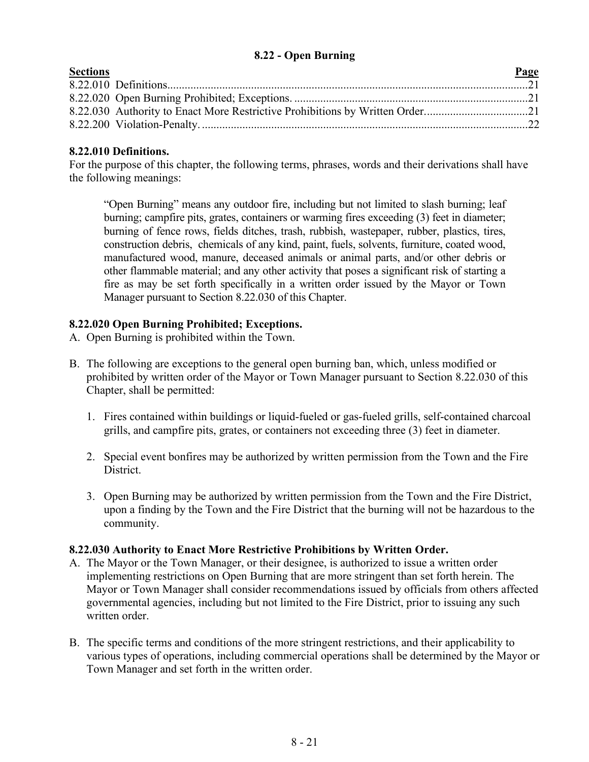## **8.22 - Open Burning**

<span id="page-20-0"></span>

| <b>Sections</b> | Page |
|-----------------|------|
|                 |      |
|                 |      |
|                 |      |
|                 |      |

## **8.22.010 Definitions.**

For the purpose of this chapter, the following terms, phrases, words and their derivations shall have the following meanings:

"Open Burning" means any outdoor fire, including but not limited to slash burning; leaf burning; campfire pits, grates, containers or warming fires exceeding (3) feet in diameter; burning of fence rows, fields ditches, trash, rubbish, wastepaper, rubber, plastics, tires, construction debris, chemicals of any kind, paint, fuels, solvents, furniture, coated wood, manufactured wood, manure, deceased animals or animal parts, and/or other debris or other flammable material; and any other activity that poses a significant risk of starting a fire as may be set forth specifically in a written order issued by the Mayor or Town Manager pursuant to Section 8.22.030 of this Chapter.

# **8.22.020 Open Burning Prohibited; Exceptions.**

- A. Open Burning is prohibited within the Town.
- B. The following are exceptions to the general open burning ban, which, unless modified or prohibited by written order of the Mayor or Town Manager pursuant to Section 8.22.030 of this Chapter, shall be permitted:
	- 1. Fires contained within buildings or liquid-fueled or gas-fueled grills, self-contained charcoal grills, and campfire pits, grates, or containers not exceeding three (3) feet in diameter.
	- 2. Special event bonfires may be authorized by written permission from the Town and the Fire District.
	- 3. Open Burning may be authorized by written permission from the Town and the Fire District, upon a finding by the Town and the Fire District that the burning will not be hazardous to the community.

## **8.22.030 Authority to Enact More Restrictive Prohibitions by Written Order.**

- A. The Mayor or the Town Manager, or their designee, is authorized to issue a written order implementing restrictions on Open Burning that are more stringent than set forth herein. The Mayor or Town Manager shall consider recommendations issued by officials from others affected governmental agencies, including but not limited to the Fire District, prior to issuing any such written order.
- B. The specific terms and conditions of the more stringent restrictions, and their applicability to various types of operations, including commercial operations shall be determined by the Mayor or Town Manager and set forth in the written order.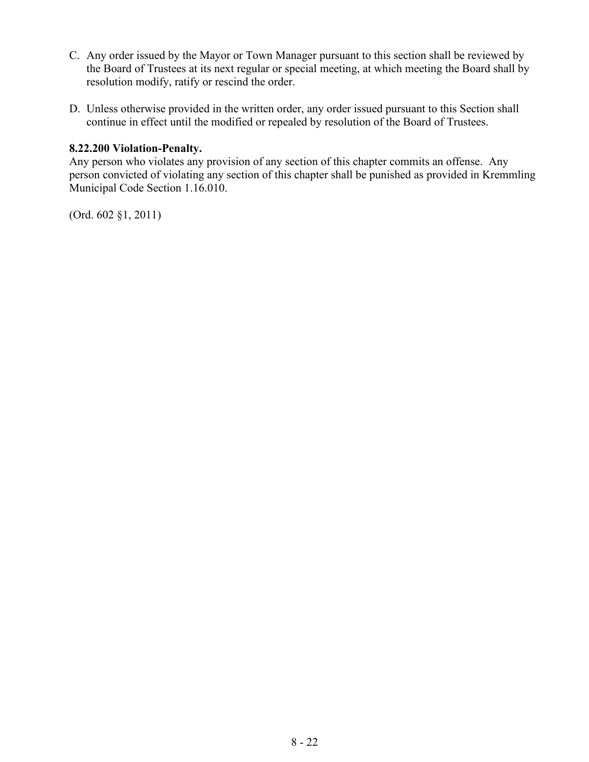- C. Any order issued by the Mayor or Town Manager pursuant to this section shall be reviewed by the Board of Trustees at its next regular or special meeting, at which meeting the Board shall by resolution modify, ratify or rescind the order.
- D. Unless otherwise provided in the written order, any order issued pursuant to this Section shall continue in effect until the modified or repealed by resolution of the Board of Trustees.

#### **8.22.200 Violation-Penalty.**

Any person who violates any provision of any section of this chapter commits an offense. Any person convicted of violating any section of this chapter shall be punished as provided in Kremmling Municipal Code Section 1.16.010.

(Ord. 602 §1, 2011)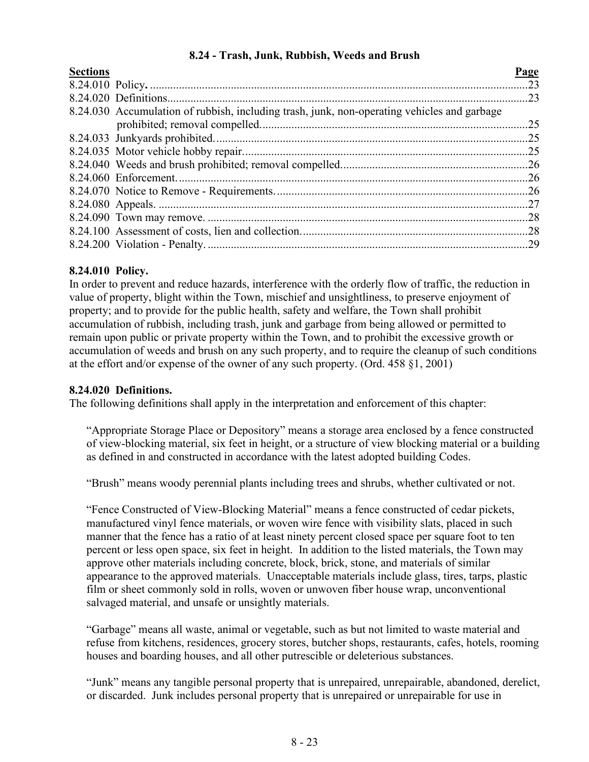## **8.24 - Trash, Junk, Rubbish, Weeds and Brush**

<span id="page-22-0"></span>

| <b>Sections</b> |                                                                                             | Page |
|-----------------|---------------------------------------------------------------------------------------------|------|
|                 |                                                                                             |      |
|                 |                                                                                             |      |
|                 | 8.24.030 Accumulation of rubbish, including trash, junk, non-operating vehicles and garbage |      |
|                 |                                                                                             |      |
|                 |                                                                                             |      |
|                 |                                                                                             |      |
|                 |                                                                                             |      |
|                 |                                                                                             |      |
|                 |                                                                                             |      |
|                 |                                                                                             |      |
|                 |                                                                                             |      |
|                 |                                                                                             |      |
|                 |                                                                                             |      |
|                 |                                                                                             |      |

## **8.24.010 Policy.**

In order to prevent and reduce hazards, interference with the orderly flow of traffic, the reduction in value of property, blight within the Town, mischief and unsightliness, to preserve enjoyment of property; and to provide for the public health, safety and welfare, the Town shall prohibit accumulation of rubbish, including trash, junk and garbage from being allowed or permitted to remain upon public or private property within the Town, and to prohibit the excessive growth or accumulation of weeds and brush on any such property, and to require the cleanup of such conditions at the effort and/or expense of the owner of any such property. (Ord. 458 §1, 2001)

#### **8.24.020 Definitions.**

The following definitions shall apply in the interpretation and enforcement of this chapter:

"Appropriate Storage Place or Depository" means a storage area enclosed by a fence constructed of view-blocking material, six feet in height, or a structure of view blocking material or a building as defined in and constructed in accordance with the latest adopted building Codes.

"Brush" means woody perennial plants including trees and shrubs, whether cultivated or not.

"Fence Constructed of View-Blocking Material" means a fence constructed of cedar pickets, manufactured vinyl fence materials, or woven wire fence with visibility slats, placed in such manner that the fence has a ratio of at least ninety percent closed space per square foot to ten percent or less open space, six feet in height. In addition to the listed materials, the Town may approve other materials including concrete, block, brick, stone, and materials of similar appearance to the approved materials. Unacceptable materials include glass, tires, tarps, plastic film or sheet commonly sold in rolls, woven or unwoven fiber house wrap, unconventional salvaged material, and unsafe or unsightly materials.

"Garbage" means all waste, animal or vegetable, such as but not limited to waste material and refuse from kitchens, residences, grocery stores, butcher shops, restaurants, cafes, hotels, rooming houses and boarding houses, and all other putrescible or deleterious substances.

"Junk" means any tangible personal property that is unrepaired, unrepairable, abandoned, derelict, or discarded. Junk includes personal property that is unrepaired or unrepairable for use in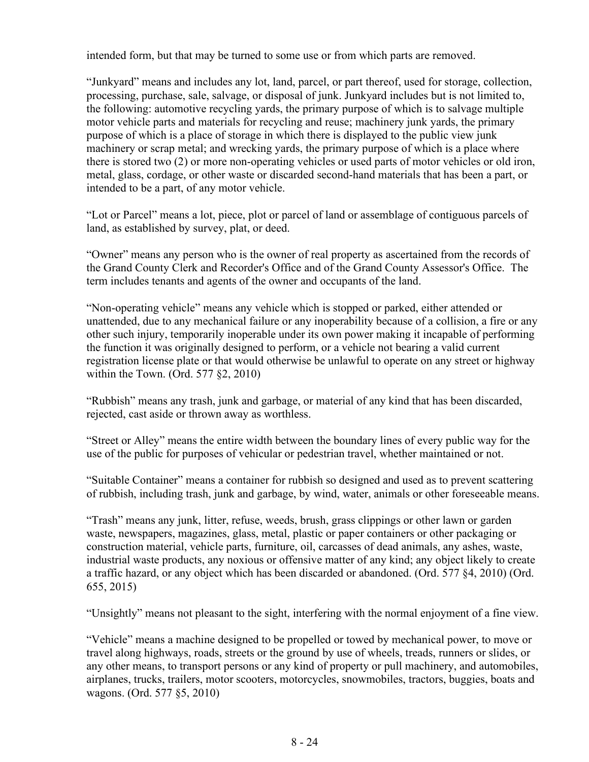intended form, but that may be turned to some use or from which parts are removed.

"Junkyard" means and includes any lot, land, parcel, or part thereof, used for storage, collection, processing, purchase, sale, salvage, or disposal of junk. Junkyard includes but is not limited to, the following: automotive recycling yards, the primary purpose of which is to salvage multiple motor vehicle parts and materials for recycling and reuse; machinery junk yards, the primary purpose of which is a place of storage in which there is displayed to the public view junk machinery or scrap metal; and wrecking yards, the primary purpose of which is a place where there is stored two (2) or more non-operating vehicles or used parts of motor vehicles or old iron, metal, glass, cordage, or other waste or discarded second-hand materials that has been a part, or intended to be a part, of any motor vehicle.

"Lot or Parcel" means a lot, piece, plot or parcel of land or assemblage of contiguous parcels of land, as established by survey, plat, or deed.

"Owner" means any person who is the owner of real property as ascertained from the records of the Grand County Clerk and Recorder's Office and of the Grand County Assessor's Office. The term includes tenants and agents of the owner and occupants of the land.

"Non-operating vehicle" means any vehicle which is stopped or parked, either attended or unattended, due to any mechanical failure or any inoperability because of a collision, a fire or any other such injury, temporarily inoperable under its own power making it incapable of performing the function it was originally designed to perform, or a vehicle not bearing a valid current registration license plate or that would otherwise be unlawful to operate on any street or highway within the Town. (Ord. 577 §2, 2010)

"Rubbish" means any trash, junk and garbage, or material of any kind that has been discarded, rejected, cast aside or thrown away as worthless.

"Street or Alley" means the entire width between the boundary lines of every public way for the use of the public for purposes of vehicular or pedestrian travel, whether maintained or not.

"Suitable Container" means a container for rubbish so designed and used as to prevent scattering of rubbish, including trash, junk and garbage, by wind, water, animals or other foreseeable means.

"Trash" means any junk, litter, refuse, weeds, brush, grass clippings or other lawn or garden waste, newspapers, magazines, glass, metal, plastic or paper containers or other packaging or construction material, vehicle parts, furniture, oil, carcasses of dead animals, any ashes, waste, industrial waste products, any noxious or offensive matter of any kind; any object likely to create a traffic hazard, or any object which has been discarded or abandoned. (Ord. 577 §4, 2010) (Ord. 655, 2015)

"Unsightly" means not pleasant to the sight, interfering with the normal enjoyment of a fine view.

"Vehicle" means a machine designed to be propelled or towed by mechanical power, to move or travel along highways, roads, streets or the ground by use of wheels, treads, runners or slides, or any other means, to transport persons or any kind of property or pull machinery, and automobiles, airplanes, trucks, trailers, motor scooters, motorcycles, snowmobiles, tractors, buggies, boats and wagons. (Ord. 577 §5, 2010)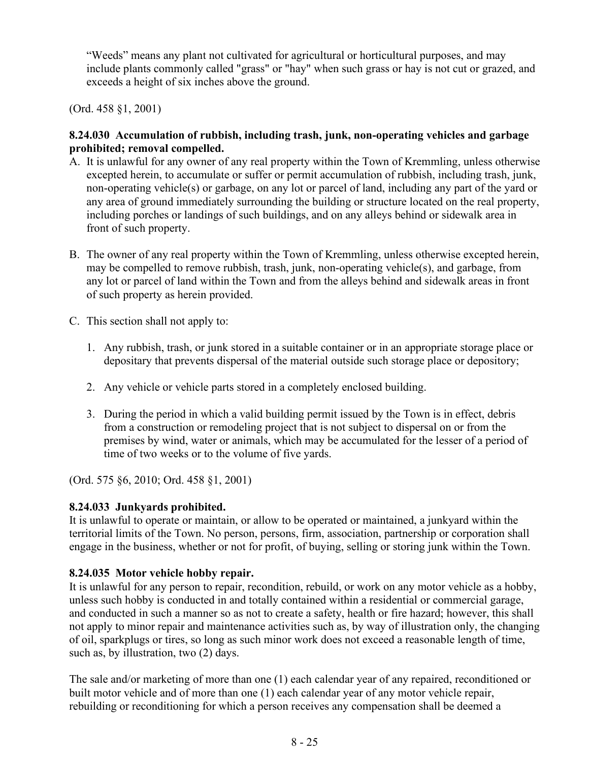"Weeds" means any plant not cultivated for agricultural or horticultural purposes, and may include plants commonly called "grass" or "hay" when such grass or hay is not cut or grazed, and exceeds a height of six inches above the ground.

(Ord. 458 §1, 2001)

## **8.24.030 Accumulation of rubbish, including trash, junk, non-operating vehicles and garbage prohibited; removal compelled.**

- A. It is unlawful for any owner of any real property within the Town of Kremmling, unless otherwise excepted herein, to accumulate or suffer or permit accumulation of rubbish, including trash, junk, non-operating vehicle(s) or garbage, on any lot or parcel of land, including any part of the yard or any area of ground immediately surrounding the building or structure located on the real property, including porches or landings of such buildings, and on any alleys behind or sidewalk area in front of such property.
- B. The owner of any real property within the Town of Kremmling, unless otherwise excepted herein, may be compelled to remove rubbish, trash, junk, non-operating vehicle(s), and garbage, from any lot or parcel of land within the Town and from the alleys behind and sidewalk areas in front of such property as herein provided.
- C. This section shall not apply to:
	- 1. Any rubbish, trash, or junk stored in a suitable container or in an appropriate storage place or depositary that prevents dispersal of the material outside such storage place or depository;
	- 2. Any vehicle or vehicle parts stored in a completely enclosed building.
	- 3. During the period in which a valid building permit issued by the Town is in effect, debris from a construction or remodeling project that is not subject to dispersal on or from the premises by wind, water or animals, which may be accumulated for the lesser of a period of time of two weeks or to the volume of five yards.

(Ord. 575 §6, 2010; Ord. 458 §1, 2001)

# **8.24.033 Junkyards prohibited.**

It is unlawful to operate or maintain, or allow to be operated or maintained, a junkyard within the territorial limits of the Town. No person, persons, firm, association, partnership or corporation shall engage in the business, whether or not for profit, of buying, selling or storing junk within the Town.

# **8.24.035 Motor vehicle hobby repair.**

It is unlawful for any person to repair, recondition, rebuild, or work on any motor vehicle as a hobby, unless such hobby is conducted in and totally contained within a residential or commercial garage, and conducted in such a manner so as not to create a safety, health or fire hazard; however, this shall not apply to minor repair and maintenance activities such as, by way of illustration only, the changing of oil, sparkplugs or tires, so long as such minor work does not exceed a reasonable length of time, such as, by illustration, two (2) days.

The sale and/or marketing of more than one (1) each calendar year of any repaired, reconditioned or built motor vehicle and of more than one (1) each calendar year of any motor vehicle repair, rebuilding or reconditioning for which a person receives any compensation shall be deemed a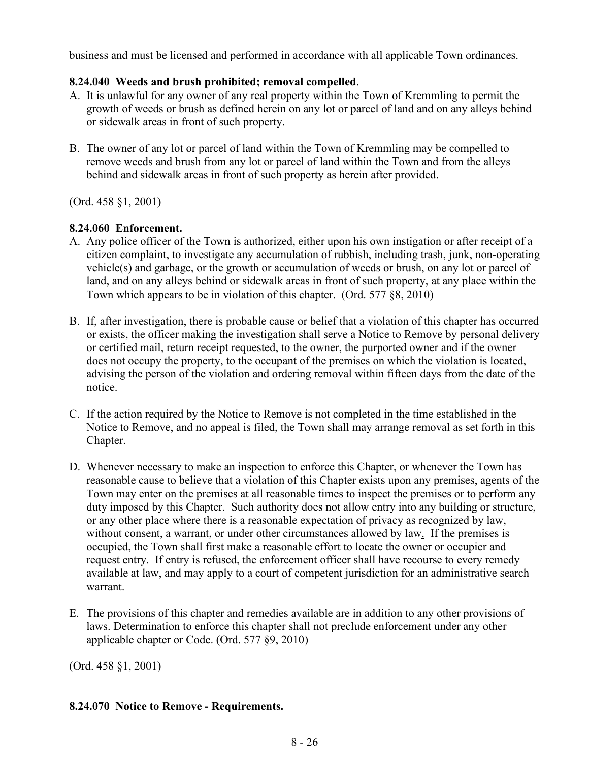business and must be licensed and performed in accordance with all applicable Town ordinances.

## **8.24.040 Weeds and brush prohibited; removal compelled**.

- A. It is unlawful for any owner of any real property within the Town of Kremmling to permit the growth of weeds or brush as defined herein on any lot or parcel of land and on any alleys behind or sidewalk areas in front of such property.
- B. The owner of any lot or parcel of land within the Town of Kremmling may be compelled to remove weeds and brush from any lot or parcel of land within the Town and from the alleys behind and sidewalk areas in front of such property as herein after provided.

(Ord. 458 §1, 2001)

## **8.24.060 Enforcement.**

- A. Any police officer of the Town is authorized, either upon his own instigation or after receipt of a citizen complaint, to investigate any accumulation of rubbish, including trash, junk, non-operating vehicle(s) and garbage, or the growth or accumulation of weeds or brush, on any lot or parcel of land, and on any alleys behind or sidewalk areas in front of such property, at any place within the Town which appears to be in violation of this chapter. (Ord. 577 §8, 2010)
- B. If, after investigation, there is probable cause or belief that a violation of this chapter has occurred or exists, the officer making the investigation shall serve a Notice to Remove by personal delivery or certified mail, return receipt requested, to the owner, the purported owner and if the owner does not occupy the property, to the occupant of the premises on which the violation is located, advising the person of the violation and ordering removal within fifteen days from the date of the notice.
- C. If the action required by the Notice to Remove is not completed in the time established in the Notice to Remove, and no appeal is filed, the Town shall may arrange removal as set forth in this Chapter.
- D. Whenever necessary to make an inspection to enforce this Chapter, or whenever the Town has reasonable cause to believe that a violation of this Chapter exists upon any premises, agents of the Town may enter on the premises at all reasonable times to inspect the premises or to perform any duty imposed by this Chapter. Such authority does not allow entry into any building or structure, or any other place where there is a reasonable expectation of privacy as recognized by law, without consent, a warrant, or under other circumstances allowed by law. If the premises is occupied, the Town shall first make a reasonable effort to locate the owner or occupier and request entry. If entry is refused, the enforcement officer shall have recourse to every remedy available at law, and may apply to a court of competent jurisdiction for an administrative search warrant.
- E. The provisions of this chapter and remedies available are in addition to any other provisions of laws. Determination to enforce this chapter shall not preclude enforcement under any other applicable chapter or Code. (Ord. 577 §9, 2010)

(Ord. 458 §1, 2001)

## **8.24.070 Notice to Remove - Requirements.**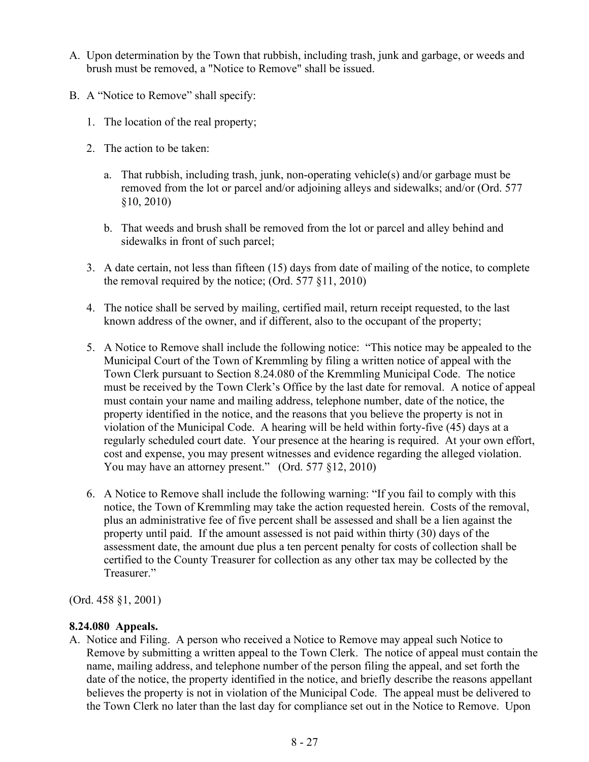- A. Upon determination by the Town that rubbish, including trash, junk and garbage, or weeds and brush must be removed, a "Notice to Remove" shall be issued.
- B. A "Notice to Remove" shall specify:
	- 1. The location of the real property;
	- 2. The action to be taken:
		- a. That rubbish, including trash, junk, non-operating vehicle(s) and/or garbage must be removed from the lot or parcel and/or adjoining alleys and sidewalks; and/or (Ord. 577 §10, 2010)
		- b. That weeds and brush shall be removed from the lot or parcel and alley behind and sidewalks in front of such parcel;
	- 3. A date certain, not less than fifteen (15) days from date of mailing of the notice, to complete the removal required by the notice; (Ord. 577 §11, 2010)
	- 4. The notice shall be served by mailing, certified mail, return receipt requested, to the last known address of the owner, and if different, also to the occupant of the property;
	- 5. A Notice to Remove shall include the following notice: "This notice may be appealed to the Municipal Court of the Town of Kremmling by filing a written notice of appeal with the Town Clerk pursuant to Section 8.24.080 of the Kremmling Municipal Code. The notice must be received by the Town Clerk's Office by the last date for removal. A notice of appeal must contain your name and mailing address, telephone number, date of the notice, the property identified in the notice, and the reasons that you believe the property is not in violation of the Municipal Code. A hearing will be held within forty-five (45) days at a regularly scheduled court date. Your presence at the hearing is required. At your own effort, cost and expense, you may present witnesses and evidence regarding the alleged violation. You may have an attorney present." (Ord. 577 §12, 2010)
	- 6. A Notice to Remove shall include the following warning: "If you fail to comply with this notice, the Town of Kremmling may take the action requested herein. Costs of the removal, plus an administrative fee of five percent shall be assessed and shall be a lien against the property until paid. If the amount assessed is not paid within thirty (30) days of the assessment date, the amount due plus a ten percent penalty for costs of collection shall be certified to the County Treasurer for collection as any other tax may be collected by the Treasurer."

(Ord. 458 §1, 2001)

## **8.24.080 Appeals.**

A. Notice and Filing. A person who received a Notice to Remove may appeal such Notice to Remove by submitting a written appeal to the Town Clerk. The notice of appeal must contain the name, mailing address, and telephone number of the person filing the appeal, and set forth the date of the notice, the property identified in the notice, and briefly describe the reasons appellant believes the property is not in violation of the Municipal Code. The appeal must be delivered to the Town Clerk no later than the last day for compliance set out in the Notice to Remove. Upon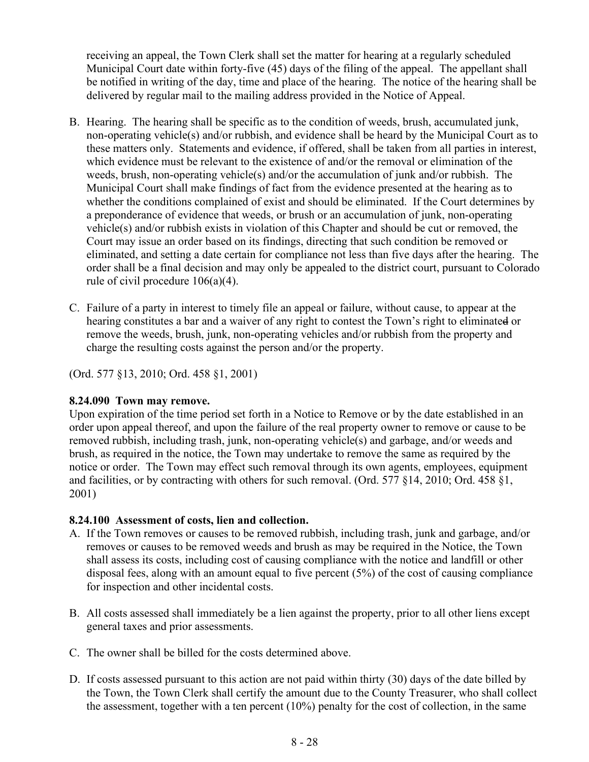receiving an appeal, the Town Clerk shall set the matter for hearing at a regularly scheduled Municipal Court date within forty-five (45) days of the filing of the appeal. The appellant shall be notified in writing of the day, time and place of the hearing. The notice of the hearing shall be delivered by regular mail to the mailing address provided in the Notice of Appeal.

- B. Hearing. The hearing shall be specific as to the condition of weeds, brush, accumulated junk, non-operating vehicle(s) and/or rubbish, and evidence shall be heard by the Municipal Court as to these matters only. Statements and evidence, if offered, shall be taken from all parties in interest, which evidence must be relevant to the existence of and/or the removal or elimination of the weeds, brush, non-operating vehicle(s) and/or the accumulation of junk and/or rubbish. The Municipal Court shall make findings of fact from the evidence presented at the hearing as to whether the conditions complained of exist and should be eliminated. If the Court determines by a preponderance of evidence that weeds, or brush or an accumulation of junk, non-operating vehicle(s) and/or rubbish exists in violation of this Chapter and should be cut or removed, the Court may issue an order based on its findings, directing that such condition be removed or eliminated, and setting a date certain for compliance not less than five days after the hearing. The order shall be a final decision and may only be appealed to the district court, pursuant to Colorado rule of civil procedure 106(a)(4).
- C. Failure of a party in interest to timely file an appeal or failure, without cause, to appear at the hearing constitutes a bar and a waiver of any right to contest the Town's right to eliminated or remove the weeds, brush, junk, non-operating vehicles and/or rubbish from the property and charge the resulting costs against the person and/or the property.

(Ord. 577 §13, 2010; Ord. 458 §1, 2001)

#### **8.24.090 Town may remove.**

Upon expiration of the time period set forth in a Notice to Remove or by the date established in an order upon appeal thereof, and upon the failure of the real property owner to remove or cause to be removed rubbish, including trash, junk, non-operating vehicle(s) and garbage, and/or weeds and brush, as required in the notice, the Town may undertake to remove the same as required by the notice or order. The Town may effect such removal through its own agents, employees, equipment and facilities, or by contracting with others for such removal. (Ord. 577 §14, 2010; Ord. 458 §1, 2001)

## **8.24.100 Assessment of costs, lien and collection.**

- A. If the Town removes or causes to be removed rubbish, including trash, junk and garbage, and/or removes or causes to be removed weeds and brush as may be required in the Notice, the Town shall assess its costs, including cost of causing compliance with the notice and landfill or other disposal fees, along with an amount equal to five percent (5%) of the cost of causing compliance for inspection and other incidental costs.
- B. All costs assessed shall immediately be a lien against the property, prior to all other liens except general taxes and prior assessments.
- C. The owner shall be billed for the costs determined above.
- D. If costs assessed pursuant to this action are not paid within thirty (30) days of the date billed by the Town, the Town Clerk shall certify the amount due to the County Treasurer, who shall collect the assessment, together with a ten percent (10%) penalty for the cost of collection, in the same